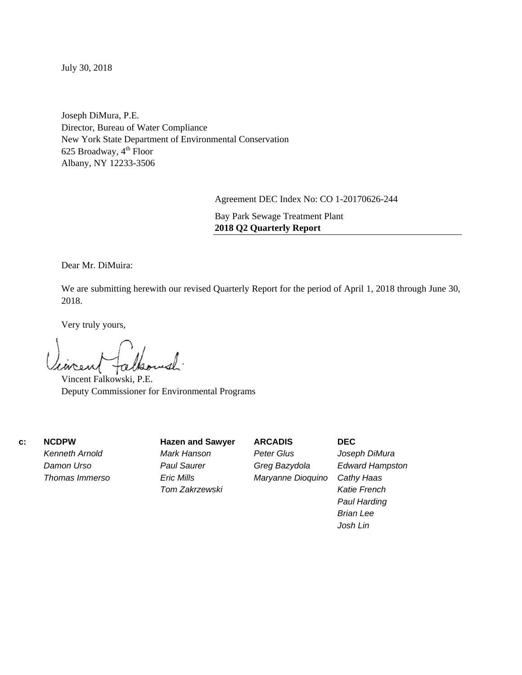July 30, 2018

Joseph DiMura, P.E. Director, Bureau of Water Compliance New York State Department of Environmental Conservation 625 Broadway,  $4^{\text{th}}$  Floor Albany, NY 12233-3506

Agreement DEC Index No: CO 1-20170626-244

Bay Park Sewage Treatment Plant **2018 Q2 Quarterly Report**

Dear Mr. DiMuira:

We are submitting herewith our revised Quarterly Report for the period of April 1, 2018 through June 30, 2018.

Very truly yours,

Vincent Falkowski, P.E. Deputy Commissioner for Environmental Programs

 **c: NCDPW** 

*Kenneth Arnold Damon Urso Thomas Immerso*  **Hazen and Sawyer**  *Mark Hanson Paul Saurer Eric Mills Tom Zakrzewski* 

**ARCADIS**  *Peter Glus Greg Bazydola Maryanne Dioquino*  **DEC**  *Joseph DiMura Edward Hampston Cathy Haas Katie French Paul Harding Brian Lee Josh Lin*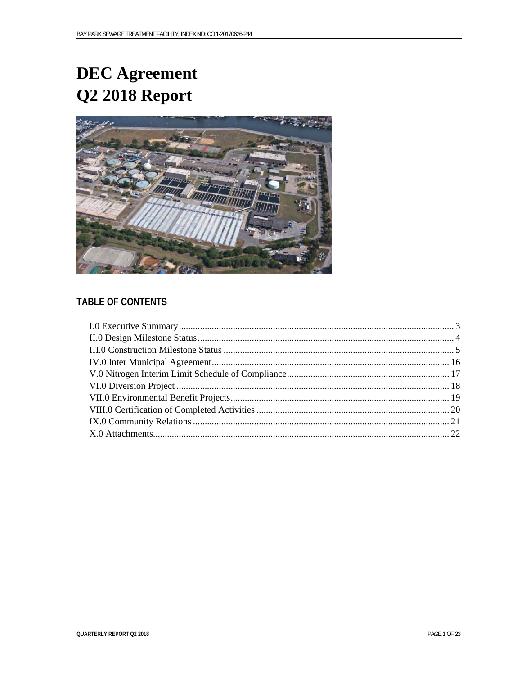# **DEC** Agreement Q2 2018 Report



# **TABLE OF CONTENTS**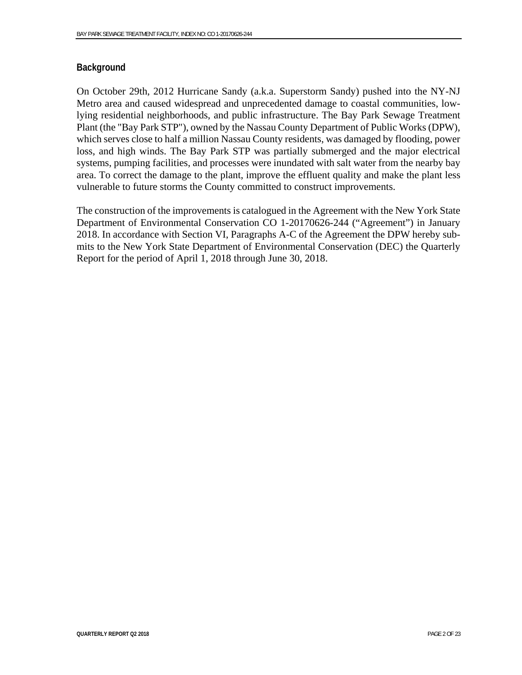### **Background**

On October 29th, 2012 Hurricane Sandy (a.k.a. Superstorm Sandy) pushed into the NY-NJ Metro area and caused widespread and unprecedented damage to coastal communities, lowlying residential neighborhoods, and public infrastructure. The Bay Park Sewage Treatment Plant (the "Bay Park STP"), owned by the Nassau County Department of Public Works (DPW), which serves close to half a million Nassau County residents, was damaged by flooding, power loss, and high winds. The Bay Park STP was partially submerged and the major electrical systems, pumping facilities, and processes were inundated with salt water from the nearby bay area. To correct the damage to the plant, improve the effluent quality and make the plant less vulnerable to future storms the County committed to construct improvements.

The construction of the improvements is catalogued in the Agreement with the New York State Department of Environmental Conservation CO 1-20170626-244 ("Agreement") in January 2018. In accordance with Section VI, Paragraphs A-C of the Agreement the DPW hereby submits to the New York State Department of Environmental Conservation (DEC) the Quarterly Report for the period of April 1, 2018 through June 30, 2018.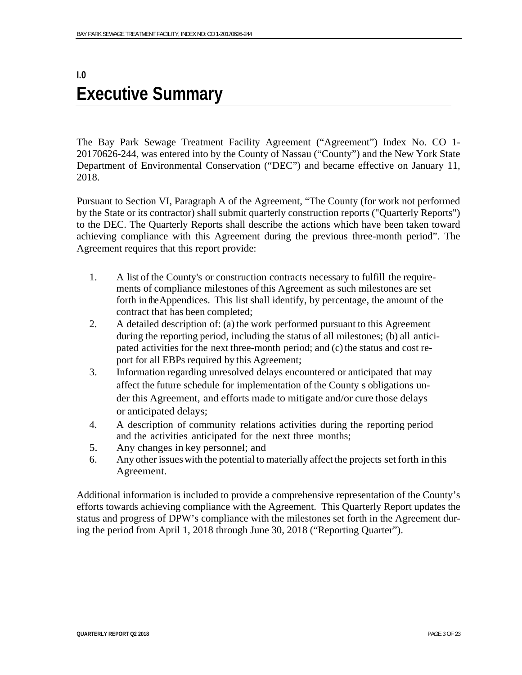# **I.0 Executive Summary**

The Bay Park Sewage Treatment Facility Agreement ("Agreement") Index No. CO 1- 20170626-244, was entered into by the County of Nassau ("County") and the New York State Department of Environmental Conservation ("DEC") and became effective on January 11, 2018.

Pursuant to Section VI, Paragraph A of the Agreement, "The County (for work not performed by the State or its contractor) shall submit quarterly construction reports ("Quarterly Reports") to the DEC. The Quarterly Reports shall describe the actions which have been taken toward achieving compliance with this Agreement during the previous three-month period". The Agreement requires that this report provide:

- 1. A list of the County's or construction contracts necessary to fulfill the requirements of compliance milestones of this Agreement as such milestones are set forth in the Appendices. This list shall identify, by percentage, the amount of the contract that has been completed;
- 2. A detailed description of: (a) the work performed pursuant to this Agreement during the reporting period, including the status of all milestones; (b) all anticipated activities for the next three-month period; and (c) the status and cost report for all EBPs required by this Agreement;
- 3. Information regarding unresolved delays encountered or anticipated that may affect the future schedule for implementation of the County s obligations under this Agreement, and efforts made to mitigate and/or cure those delays or anticipated delays;
- 4. A description of community relations activities during the reporting period and the activities anticipated for the next three months;
- 5. Any changes in key personnel; and
- 6. Any other issues with the potential to materially affect the projects set forth in this Agreement.

Additional information is included to provide a comprehensive representation of the County's efforts towards achieving compliance with the Agreement. This Quarterly Report updates the status and progress of DPW's compliance with the milestones set forth in the Agreement during the period from April 1, 2018 through June 30, 2018 ("Reporting Quarter").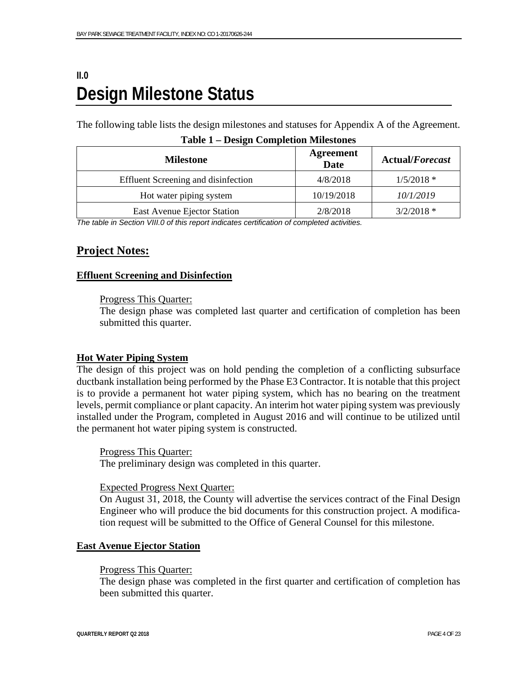# **II.0 Design Milestone Status**

The following table lists the design milestones and statuses for Appendix A of the Agreement.

| <b>Milestone</b>                    | <b>Agreement</b><br><b>Date</b> | <b>Actual/Forecast</b> |
|-------------------------------------|---------------------------------|------------------------|
| Effluent Screening and disinfection | 4/8/2018                        | $1/5/2018$ *           |
| Hot water piping system             | 10/19/2018                      | 10/1/2019              |
| East Avenue Ejector Station         | 2/8/2018                        | $3/2/2018$ *           |

| <b>Table 1 – Design Completion Milestones</b> |  |  |
|-----------------------------------------------|--|--|
|-----------------------------------------------|--|--|

*The table in Section VIII.0 of this report indicates certification of completed activities.*

# **Project Notes:**

#### **Effluent Screening and Disinfection**

#### Progress This Quarter:

The design phase was completed last quarter and certification of completion has been submitted this quarter.

#### **Hot Water Piping System**

The design of this project was on hold pending the completion of a conflicting subsurface ductbank installation being performed by the Phase E3 Contractor. It is notable that this project is to provide a permanent hot water piping system, which has no bearing on the treatment levels, permit compliance or plant capacity. An interim hot water piping system was previously installed under the Program, completed in August 2016 and will continue to be utilized until the permanent hot water piping system is constructed.

#### Progress This Quarter:

The preliminary design was completed in this quarter.

Expected Progress Next Quarter:

On August 31, 2018, the County will advertise the services contract of the Final Design Engineer who will produce the bid documents for this construction project. A modification request will be submitted to the Office of General Counsel for this milestone.

#### **East Avenue Ejector Station**

#### Progress This Quarter:

The design phase was completed in the first quarter and certification of completion has been submitted this quarter.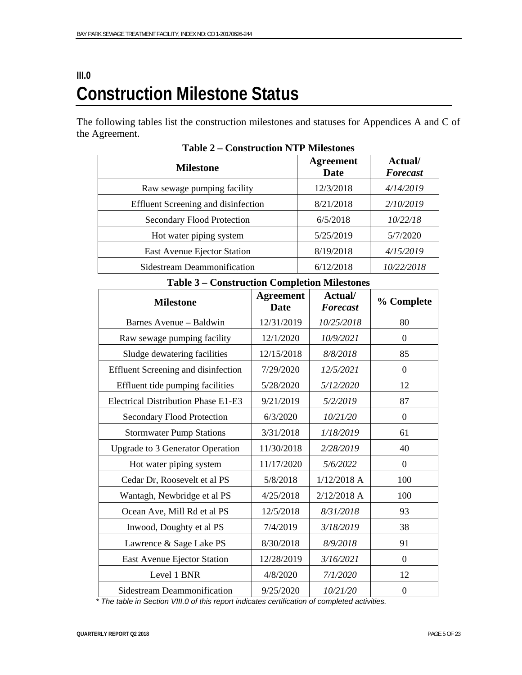# **III.0 Construction Milestone Status**

The following tables list the construction milestones and statuses for Appendices A and C of the Agreement.

| <b>Milestone</b>                    | <b>Agreement</b><br>Date | Actual/<br><b>Forecast</b> |
|-------------------------------------|--------------------------|----------------------------|
| Raw sewage pumping facility         | 12/3/2018                | 4/14/2019                  |
| Effluent Screening and disinfection | 8/21/2018                | 2/10/2019                  |
| Secondary Flood Protection          | 6/5/2018                 | 10/22/18                   |
| Hot water piping system             | 5/25/2019                | 5/7/2020                   |
| East Avenue Ejector Station         | 8/19/2018                | 4/15/2019                  |
| Sidestream Deammonification         | 6/12/2018                | 10/22/2018                 |

**Table 2 – Construction NTP Milestones** 

#### **Table 3 – Construction Completion Milestones**

| соный асиби сонгристон ганевизися          |                                 |                            |                  |  |
|--------------------------------------------|---------------------------------|----------------------------|------------------|--|
| <b>Milestone</b>                           | <b>Agreement</b><br><b>Date</b> | Actual/<br><b>Forecast</b> | % Complete       |  |
| Barnes Avenue - Baldwin                    | 12/31/2019                      | 10/25/2018                 | 80               |  |
| Raw sewage pumping facility                | 12/1/2020                       | 10/9/2021                  | $\overline{0}$   |  |
| Sludge dewatering facilities               | 12/15/2018                      | 8/8/2018                   | 85               |  |
| <b>Effluent Screening and disinfection</b> | 7/29/2020                       | 12/5/2021                  | $\boldsymbol{0}$ |  |
| Effluent tide pumping facilities           | 5/28/2020                       | 5/12/2020                  | 12               |  |
| <b>Electrical Distribution Phase E1-E3</b> | 9/21/2019                       | 5/2/2019                   | 87               |  |
| <b>Secondary Flood Protection</b>          | 6/3/2020                        | 10/21/20                   | $\boldsymbol{0}$ |  |
| <b>Stormwater Pump Stations</b>            | 3/31/2018                       | 1/18/2019                  | 61               |  |
| <b>Upgrade to 3 Generator Operation</b>    | 11/30/2018                      | 2/28/2019                  | 40               |  |
| Hot water piping system                    | 11/17/2020                      | 5/6/2022                   | $\boldsymbol{0}$ |  |
| Cedar Dr, Roosevelt et al PS               | 5/8/2018                        | $1/12/2018$ A              | 100              |  |
| Wantagh, Newbridge et al PS                | 4/25/2018                       | 2/12/2018 A                | 100              |  |
| Ocean Ave, Mill Rd et al PS                | 12/5/2018                       | 8/31/2018                  | 93               |  |
| Inwood, Doughty et al PS                   | 7/4/2019                        | 3/18/2019                  | 38               |  |
| Lawrence & Sage Lake PS                    | 8/30/2018                       | 8/9/2018                   | 91               |  |
| East Avenue Ejector Station                | 12/28/2019                      | 3/16/2021                  | $\boldsymbol{0}$ |  |
| Level 1 BNR                                | 4/8/2020                        | 7/1/2020                   | 12               |  |
| <b>Sidestream Deammonification</b>         | 9/25/2020                       | 10/21/20                   | $\boldsymbol{0}$ |  |

*\* The table in Section VIII.0 of this report indicates certification of completed activities.*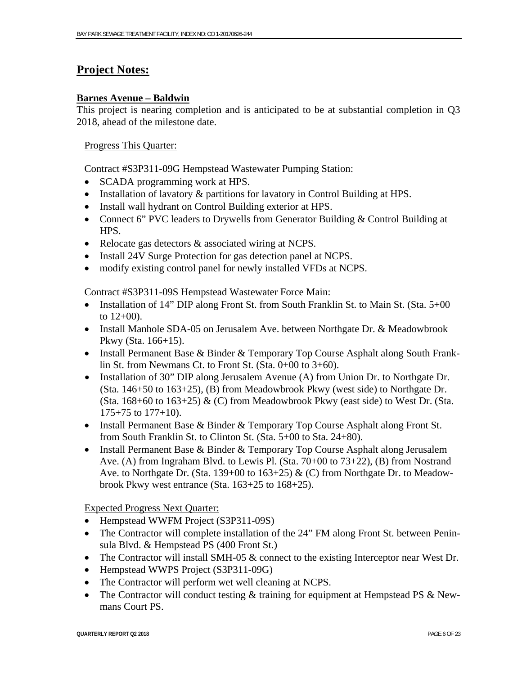# **Project Notes:**

### **Barnes Avenue – Baldwin**

This project is nearing completion and is anticipated to be at substantial completion in Q3 2018, ahead of the milestone date.

### Progress This Quarter:

Contract #S3P311-09G Hempstead Wastewater Pumping Station:

- SCADA programming work at HPS.
- Installation of lavatory & partitions for lavatory in Control Building at HPS.
- Install wall hydrant on Control Building exterior at HPS.
- Connect 6" PVC leaders to Drywells from Generator Building & Control Building at HPS.
- Relocate gas detectors & associated wiring at NCPS.
- Install 24V Surge Protection for gas detection panel at NCPS.
- modify existing control panel for newly installed VFDs at NCPS.

Contract #S3P311-09S Hempstead Wastewater Force Main:

- Installation of 14" DIP along Front St. from South Franklin St. to Main St. (Sta. 5+00 to  $12+00$ ).
- Install Manhole SDA-05 on Jerusalem Ave. between Northgate Dr. & Meadowbrook Pkwy (Sta. 166+15).
- Install Permanent Base & Binder & Temporary Top Course Asphalt along South Franklin St. from Newmans Ct. to Front St. (Sta. 0+00 to 3+60).
- Installation of 30" DIP along Jerusalem Avenue (A) from Union Dr. to Northgate Dr. (Sta. 146+50 to 163+25), (B) from Meadowbrook Pkwy (west side) to Northgate Dr. (Sta. 168+60 to 163+25)  $\&$  (C) from Meadowbrook Pkwy (east side) to West Dr. (Sta. 175+75 to 177+10).
- Install Permanent Base & Binder & Temporary Top Course Asphalt along Front St. from South Franklin St. to Clinton St. (Sta. 5+00 to Sta. 24+80).
- Install Permanent Base & Binder & Temporary Top Course Asphalt along Jerusalem Ave. (A) from Ingraham Blvd. to Lewis Pl. (Sta. 70+00 to 73+22), (B) from Nostrand Ave. to Northgate Dr. (Sta. 139+00 to 163+25) & (C) from Northgate Dr. to Meadowbrook Pkwy west entrance (Sta. 163+25 to 168+25).

Expected Progress Next Quarter:

- Hempstead WWFM Project (S3P311-09S)
- The Contractor will complete installation of the 24" FM along Front St. between Peninsula Blvd. & Hempstead PS (400 Front St.)
- The Contractor will install SMH-05  $&$  connect to the existing Interceptor near West Dr.
- Hempstead WWPS Project (S3P311-09G)
- The Contractor will perform wet well cleaning at NCPS.
- The Contractor will conduct testing & training for equipment at Hempstead PS & Newmans Court PS.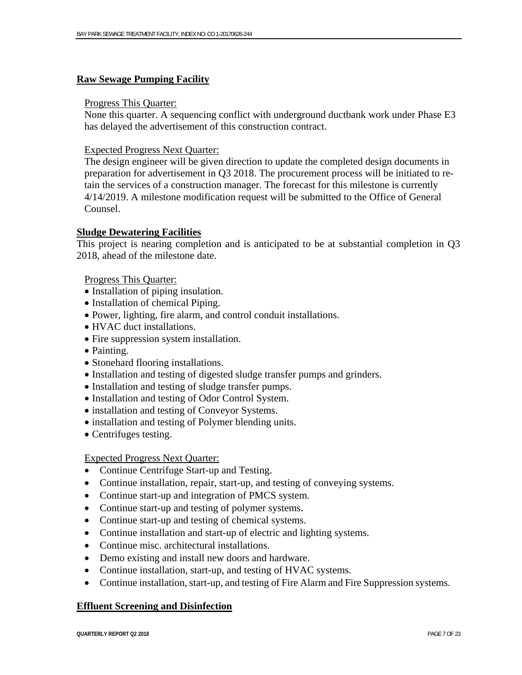#### **Raw Sewage Pumping Facility**

#### Progress This Quarter:

None this quarter. A sequencing conflict with underground ductbank work under Phase E3 has delayed the advertisement of this construction contract.

#### Expected Progress Next Quarter:

The design engineer will be given direction to update the completed design documents in preparation for advertisement in Q3 2018. The procurement process will be initiated to retain the services of a construction manager. The forecast for this milestone is currently 4/14/2019. A milestone modification request will be submitted to the Office of General Counsel.

#### **Sludge Dewatering Facilities**

This project is nearing completion and is anticipated to be at substantial completion in Q3 2018, ahead of the milestone date.

#### Progress This Quarter:

- Installation of piping insulation.
- Installation of chemical Piping.
- Power, lighting, fire alarm, and control conduit installations.
- HVAC duct installations.
- Fire suppression system installation.
- Painting.
- Stonehard flooring installations.
- Installation and testing of digested sludge transfer pumps and grinders.
- Installation and testing of sludge transfer pumps.
- Installation and testing of Odor Control System.
- installation and testing of Conveyor Systems.
- installation and testing of Polymer blending units.
- Centrifuges testing.

#### Expected Progress Next Quarter:

- Continue Centrifuge Start-up and Testing.
- Continue installation, repair, start-up, and testing of conveying systems.
- Continue start-up and integration of PMCS system.
- Continue start-up and testing of polymer systems.
- Continue start-up and testing of chemical systems.
- Continue installation and start-up of electric and lighting systems.
- Continue misc. architectural installations.
- Demo existing and install new doors and hardware.
- Continue installation, start-up, and testing of HVAC systems.
- Continue installation, start-up, and testing of Fire Alarm and Fire Suppression systems.

#### **Effluent Screening and Disinfection**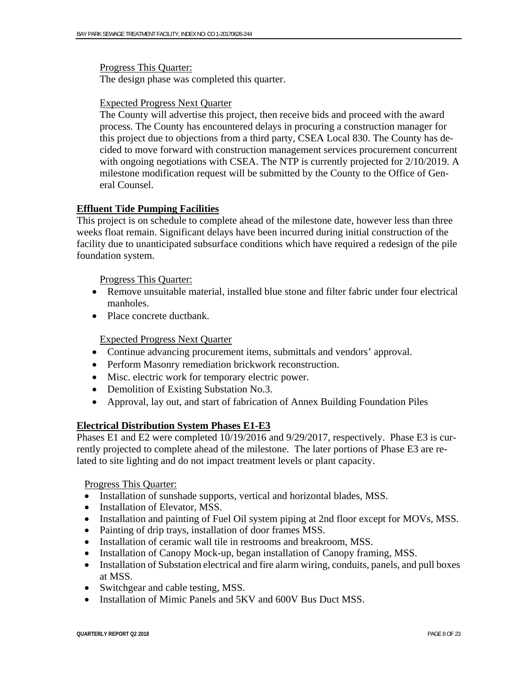Progress This Quarter:

The design phase was completed this quarter.

#### Expected Progress Next Quarter

The County will advertise this project, then receive bids and proceed with the award process. The County has encountered delays in procuring a construction manager for this project due to objections from a third party, CSEA Local 830. The County has decided to move forward with construction management services procurement concurrent with ongoing negotiations with CSEA. The NTP is currently projected for 2/10/2019. A milestone modification request will be submitted by the County to the Office of General Counsel.

#### **Effluent Tide Pumping Facilities**

This project is on schedule to complete ahead of the milestone date, however less than three weeks float remain. Significant delays have been incurred during initial construction of the facility due to unanticipated subsurface conditions which have required a redesign of the pile foundation system.

Progress This Quarter:

- Remove unsuitable material, installed blue stone and filter fabric under four electrical manholes.
- Place concrete ductbank.

#### Expected Progress Next Quarter

- Continue advancing procurement items, submittals and vendors' approval.
- Perform Masonry remediation brickwork reconstruction.
- Misc. electric work for temporary electric power.
- Demolition of Existing Substation No.3.
- Approval, lay out, and start of fabrication of Annex Building Foundation Piles

#### **Electrical Distribution System Phases E1-E3**

Phases E1 and E2 were completed  $10/19/2016$  and  $9/29/2017$ , respectively. Phase E3 is currently projected to complete ahead of the milestone. The later portions of Phase E3 are related to site lighting and do not impact treatment levels or plant capacity.

#### Progress This Quarter:

- Installation of sunshade supports, vertical and horizontal blades, MSS.
- Installation of Elevator, MSS.
- Installation and painting of Fuel Oil system piping at 2nd floor except for MOVs, MSS.
- Painting of drip trays, installation of door frames MSS.
- Installation of ceramic wall tile in restrooms and breakroom, MSS.
- Installation of Canopy Mock-up, began installation of Canopy framing, MSS.
- Installation of Substation electrical and fire alarm wiring, conduits, panels, and pull boxes at MSS.
- Switchgear and cable testing, MSS.
- Installation of Mimic Panels and 5KV and 600V Bus Duct MSS.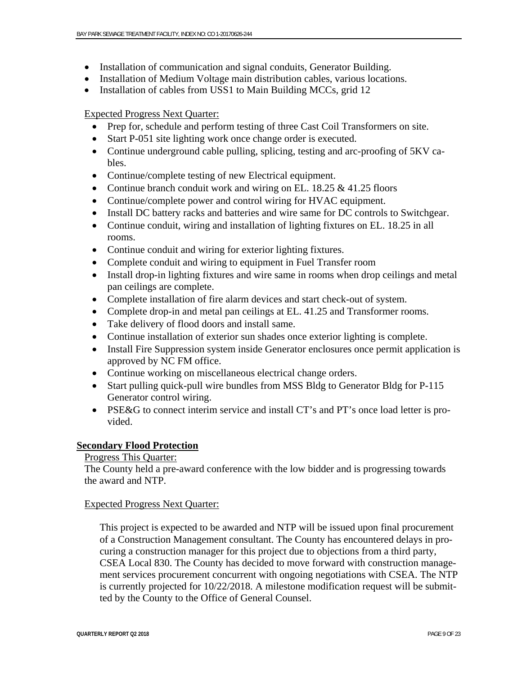- Installation of communication and signal conduits, Generator Building.
- Installation of Medium Voltage main distribution cables, various locations.
- Installation of cables from USS1 to Main Building MCCs, grid 12

### Expected Progress Next Quarter:

- Prep for, schedule and perform testing of three Cast Coil Transformers on site.
- Start P-051 site lighting work once change order is executed.
- Continue underground cable pulling, splicing, testing and arc-proofing of 5KV cables.
- Continue/complete testing of new Electrical equipment.
- Continue branch conduit work and wiring on EL. 18.25  $\&$  41.25 floors
- Continue/complete power and control wiring for HVAC equipment.
- Install DC battery racks and batteries and wire same for DC controls to Switchgear.
- Continue conduit, wiring and installation of lighting fixtures on EL. 18.25 in all rooms.
- Continue conduit and wiring for exterior lighting fixtures.
- Complete conduit and wiring to equipment in Fuel Transfer room
- Install drop-in lighting fixtures and wire same in rooms when drop ceilings and metal pan ceilings are complete.
- Complete installation of fire alarm devices and start check-out of system.
- Complete drop-in and metal pan ceilings at EL. 41.25 and Transformer rooms.
- Take delivery of flood doors and install same.
- Continue installation of exterior sun shades once exterior lighting is complete.
- Install Fire Suppression system inside Generator enclosures once permit application is approved by NC FM office.
- Continue working on miscellaneous electrical change orders.
- Start pulling quick-pull wire bundles from MSS Bldg to Generator Bldg for P-115 Generator control wiring.
- PSE&G to connect interim service and install CT's and PT's once load letter is provided.

## **Secondary Flood Protection**

## Progress This Quarter:

The County held a pre-award conference with the low bidder and is progressing towards the award and NTP.

## Expected Progress Next Quarter:

This project is expected to be awarded and NTP will be issued upon final procurement of a Construction Management consultant. The County has encountered delays in procuring a construction manager for this project due to objections from a third party, CSEA Local 830. The County has decided to move forward with construction management services procurement concurrent with ongoing negotiations with CSEA. The NTP is currently projected for 10/22/2018. A milestone modification request will be submitted by the County to the Office of General Counsel.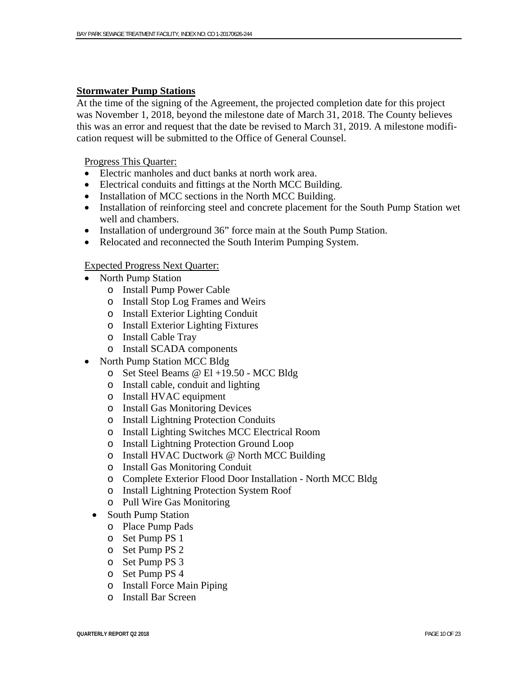#### **Stormwater Pump Stations**

At the time of the signing of the Agreement, the projected completion date for this project was November 1, 2018, beyond the milestone date of March 31, 2018. The County believes this was an error and request that the date be revised to March 31, 2019. A milestone modification request will be submitted to the Office of General Counsel.

#### Progress This Quarter:

- Electric manholes and duct banks at north work area.
- Electrical conduits and fittings at the North MCC Building.
- Installation of MCC sections in the North MCC Building.
- Installation of reinforcing steel and concrete placement for the South Pump Station wet well and chambers.
- Installation of underground 36" force main at the South Pump Station.
- Relocated and reconnected the South Interim Pumping System.

#### Expected Progress Next Quarter:

- North Pump Station
	- o Install Pump Power Cable
	- o Install Stop Log Frames and Weirs
	- o Install Exterior Lighting Conduit
	- o Install Exterior Lighting Fixtures
	- o Install Cable Tray
	- o Install SCADA components
- North Pump Station MCC Bldg
	- o Set Steel Beams @ El +19.50 MCC Bldg
	- o Install cable, conduit and lighting
	- o Install HVAC equipment
	- o Install Gas Monitoring Devices
	- o Install Lightning Protection Conduits
	- o Install Lighting Switches MCC Electrical Room
	- o Install Lightning Protection Ground Loop
	- o Install HVAC Ductwork @ North MCC Building
	- o Install Gas Monitoring Conduit
	- o Complete Exterior Flood Door Installation North MCC Bldg
	- o Install Lightning Protection System Roof
	- o Pull Wire Gas Monitoring
- South Pump Station
	- o Place Pump Pads
	- o Set Pump PS 1
	- o Set Pump PS 2
	- o Set Pump PS 3
	- o Set Pump PS 4
	- o Install Force Main Piping
	- o Install Bar Screen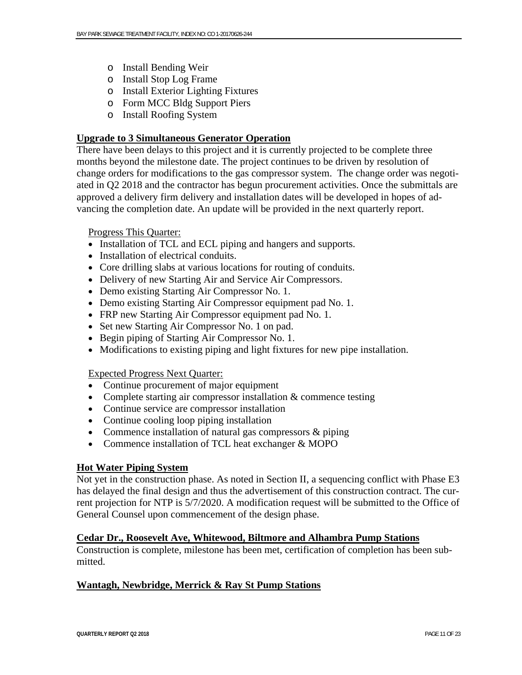- o Install Bending Weir
- o Install Stop Log Frame
- o Install Exterior Lighting Fixtures
- o Form MCC Bldg Support Piers
- o Install Roofing System

# **Upgrade to 3 Simultaneous Generator Operation**

There have been delays to this project and it is currently projected to be complete three months beyond the milestone date. The project continues to be driven by resolution of change orders for modifications to the gas compressor system. The change order was negotiated in Q2 2018 and the contractor has begun procurement activities. Once the submittals are approved a delivery firm delivery and installation dates will be developed in hopes of advancing the completion date. An update will be provided in the next quarterly report.

### Progress This Quarter:

- Installation of TCL and ECL piping and hangers and supports.
- Installation of electrical conduits.
- Core drilling slabs at various locations for routing of conduits.
- Delivery of new Starting Air and Service Air Compressors.
- Demo existing Starting Air Compressor No. 1.
- Demo existing Starting Air Compressor equipment pad No. 1.
- FRP new Starting Air Compressor equipment pad No. 1.
- Set new Starting Air Compressor No. 1 on pad.
- Begin piping of Starting Air Compressor No. 1.
- Modifications to existing piping and light fixtures for new pipe installation.

## Expected Progress Next Quarter:

- Continue procurement of major equipment
- Complete starting air compressor installation & commence testing
- Continue service are compressor installation
- Continue cooling loop piping installation
- Commence installation of natural gas compressors  $\&$  piping
- Commence installation of TCL heat exchanger & MOPO

## **Hot Water Piping System**

Not yet in the construction phase. As noted in Section II, a sequencing conflict with Phase E3 has delayed the final design and thus the advertisement of this construction contract. The current projection for NTP is 5/7/2020. A modification request will be submitted to the Office of General Counsel upon commencement of the design phase.

## **Cedar Dr., Roosevelt Ave, Whitewood, Biltmore and Alhambra Pump Stations**

Construction is complete, milestone has been met, certification of completion has been submitted.

## **Wantagh, Newbridge, Merrick & Ray St Pump Stations**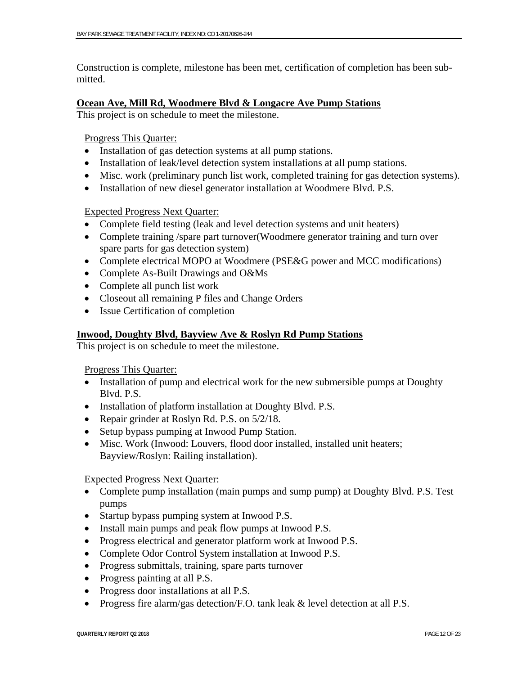Construction is complete, milestone has been met, certification of completion has been submitted.

#### **Ocean Ave, Mill Rd, Woodmere Blvd & Longacre Ave Pump Stations**

This project is on schedule to meet the milestone.

Progress This Quarter:

- Installation of gas detection systems at all pump stations.
- Installation of leak/level detection system installations at all pump stations.
- Misc. work (preliminary punch list work, completed training for gas detection systems).
- Installation of new diesel generator installation at Woodmere Blvd. P.S.

#### Expected Progress Next Quarter:

- Complete field testing (leak and level detection systems and unit heaters)
- Complete training /spare part turnover (Woodmere generator training and turn over spare parts for gas detection system)
- Complete electrical MOPO at Woodmere (PSE&G power and MCC modifications)
- Complete As-Built Drawings and O&Ms
- Complete all punch list work
- Closeout all remaining P files and Change Orders
- Issue Certification of completion

### **Inwood, Doughty Blvd, Bayview Ave & Roslyn Rd Pump Stations**

This project is on schedule to meet the milestone.

Progress This Quarter:

- Installation of pump and electrical work for the new submersible pumps at Doughty Blvd. P.S.
- Installation of platform installation at Doughty Blvd. P.S.
- Repair grinder at Roslyn Rd. P.S. on  $5/2/18$ .
- Setup bypass pumping at Inwood Pump Station.
- Misc. Work (Inwood: Louvers, flood door installed, installed unit heaters; Bayview/Roslyn: Railing installation).

#### Expected Progress Next Quarter:

- Complete pump installation (main pumps and sump pump) at Doughty Blvd. P.S. Test pumps
- Startup bypass pumping system at Inwood P.S.
- Install main pumps and peak flow pumps at Inwood P.S.
- Progress electrical and generator platform work at Inwood P.S.
- Complete Odor Control System installation at Inwood P.S.
- Progress submittals, training, spare parts turnover
- Progress painting at all P.S.
- Progress door installations at all P.S.
- Progress fire alarm/gas detection/F.O. tank leak & level detection at all P.S.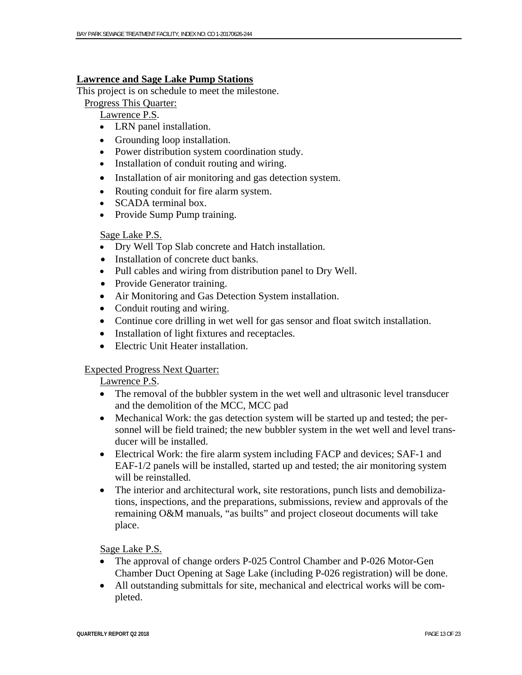#### **Lawrence and Sage Lake Pump Stations**

This project is on schedule to meet the milestone.

Progress This Quarter:

Lawrence P.S.

- LRN panel installation.
- Grounding loop installation.
- Power distribution system coordination study.
- Installation of conduit routing and wiring.
- Installation of air monitoring and gas detection system.
- Routing conduit for fire alarm system.
- SCADA terminal box.
- Provide Sump Pump training.

#### Sage Lake P.S.

- Dry Well Top Slab concrete and Hatch installation.
- Installation of concrete duct banks.
- Pull cables and wiring from distribution panel to Dry Well.
- Provide Generator training.
- Air Monitoring and Gas Detection System installation.
- Conduit routing and wiring.
- Continue core drilling in wet well for gas sensor and float switch installation.
- Installation of light fixtures and receptacles.
- Electric Unit Heater installation.

#### Expected Progress Next Quarter:

#### Lawrence P.S.

- The removal of the bubbler system in the wet well and ultrasonic level transducer and the demolition of the MCC, MCC pad
- Mechanical Work: the gas detection system will be started up and tested; the personnel will be field trained; the new bubbler system in the wet well and level transducer will be installed.
- Electrical Work: the fire alarm system including FACP and devices; SAF-1 and EAF-1/2 panels will be installed, started up and tested; the air monitoring system will be reinstalled.
- The interior and architectural work, site restorations, punch lists and demobilizations, inspections, and the preparations, submissions, review and approvals of the remaining O&M manuals, "as builts" and project closeout documents will take place.

Sage Lake P.S.

- The approval of change orders P-025 Control Chamber and P-026 Motor-Gen Chamber Duct Opening at Sage Lake (including P-026 registration) will be done.
- All outstanding submittals for site, mechanical and electrical works will be completed.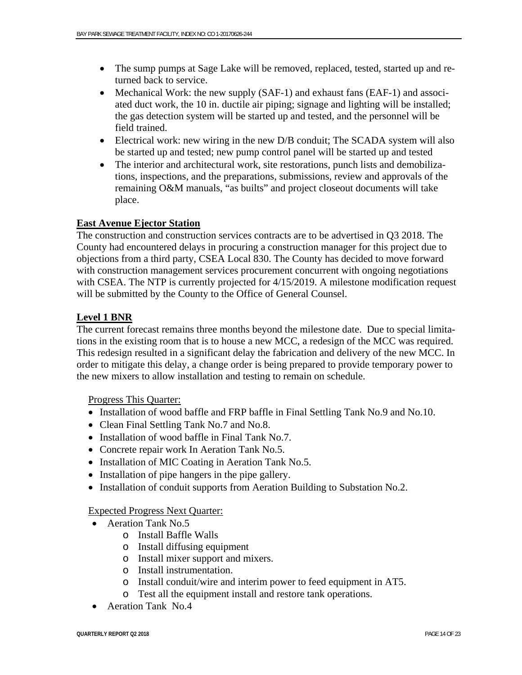- The sump pumps at Sage Lake will be removed, replaced, tested, started up and returned back to service.
- Mechanical Work: the new supply (SAF-1) and exhaust fans (EAF-1) and associated duct work, the 10 in. ductile air piping; signage and lighting will be installed; the gas detection system will be started up and tested, and the personnel will be field trained.
- Electrical work: new wiring in the new D/B conduit; The SCADA system will also be started up and tested; new pump control panel will be started up and tested
- The interior and architectural work, site restorations, punch lists and demobilizations, inspections, and the preparations, submissions, review and approvals of the remaining O&M manuals, "as builts" and project closeout documents will take place.

#### **East Avenue Ejector Station**

The construction and construction services contracts are to be advertised in Q3 2018. The County had encountered delays in procuring a construction manager for this project due to objections from a third party, CSEA Local 830. The County has decided to move forward with construction management services procurement concurrent with ongoing negotiations with CSEA. The NTP is currently projected for  $4/15/2019$ . A milestone modification request will be submitted by the County to the Office of General Counsel.

#### **Level 1 BNR**

The current forecast remains three months beyond the milestone date. Due to special limitations in the existing room that is to house a new MCC, a redesign of the MCC was required. This redesign resulted in a significant delay the fabrication and delivery of the new MCC. In order to mitigate this delay, a change order is being prepared to provide temporary power to the new mixers to allow installation and testing to remain on schedule.

#### Progress This Quarter:

- Installation of wood baffle and FRP baffle in Final Settling Tank No.9 and No.10.
- Clean Final Settling Tank No.7 and No.8.
- Installation of wood baffle in Final Tank No.7.
- Concrete repair work In Aeration Tank No.5.
- Installation of MIC Coating in Aeration Tank No.5.
- Installation of pipe hangers in the pipe gallery.
- Installation of conduit supports from Aeration Building to Substation No.2.

#### Expected Progress Next Quarter:

- Aeration Tank No.5
	- o Install Baffle Walls
	- o Install diffusing equipment
	- o Install mixer support and mixers.
	- o Install instrumentation.
	- o Install conduit/wire and interim power to feed equipment in AT5.
	- o Test all the equipment install and restore tank operations.
- Aeration Tank No.4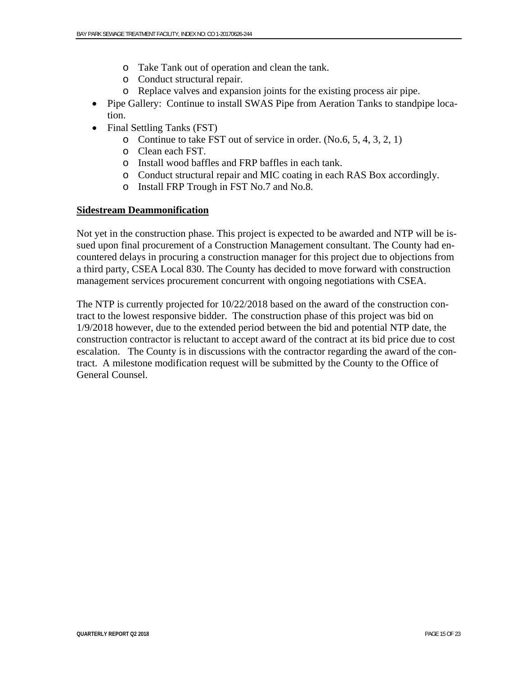- o Take Tank out of operation and clean the tank.
- o Conduct structural repair.
- o Replace valves and expansion joints for the existing process air pipe.
- Pipe Gallery: Continue to install SWAS Pipe from Aeration Tanks to standpipe location.
- Final Settling Tanks (FST)
	- o Continue to take FST out of service in order. (No.6, 5, 4, 3, 2, 1)
	- o Clean each FST.
	- o Install wood baffles and FRP baffles in each tank.
	- o Conduct structural repair and MIC coating in each RAS Box accordingly.
	- o Install FRP Trough in FST No.7 and No.8.

#### **Sidestream Deammonification**

Not yet in the construction phase. This project is expected to be awarded and NTP will be issued upon final procurement of a Construction Management consultant. The County had encountered delays in procuring a construction manager for this project due to objections from a third party, CSEA Local 830. The County has decided to move forward with construction management services procurement concurrent with ongoing negotiations with CSEA.

The NTP is currently projected for 10/22/2018 based on the award of the construction contract to the lowest responsive bidder. The construction phase of this project was bid on 1/9/2018 however, due to the extended period between the bid and potential NTP date, the construction contractor is reluctant to accept award of the contract at its bid price due to cost escalation. The County is in discussions with the contractor regarding the award of the contract. A milestone modification request will be submitted by the County to the Office of General Counsel.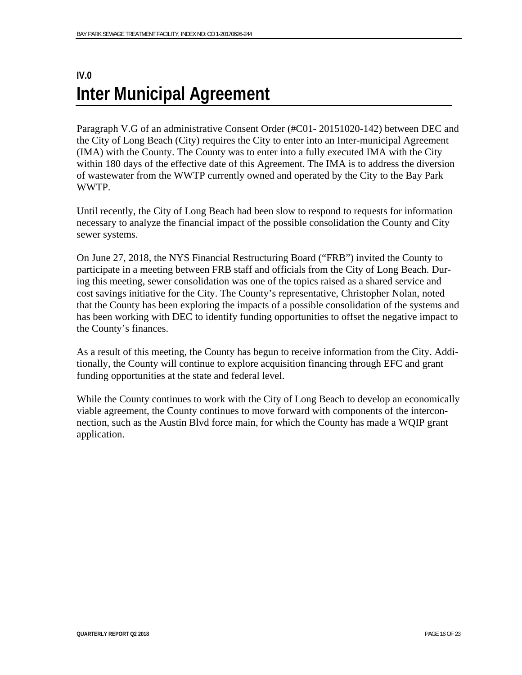# **IV.0 Inter Municipal Agreement**

Paragraph V.G of an administrative Consent Order (#C01- 20151020-142) between DEC and the City of Long Beach (City) requires the City to enter into an Inter-municipal Agreement (IMA) with the County. The County was to enter into a fully executed IMA with the City within 180 days of the effective date of this Agreement. The IMA is to address the diversion of wastewater from the WWTP currently owned and operated by the City to the Bay Park WWTP.

Until recently, the City of Long Beach had been slow to respond to requests for information necessary to analyze the financial impact of the possible consolidation the County and City sewer systems.

On June 27, 2018, the NYS Financial Restructuring Board ("FRB") invited the County to participate in a meeting between FRB staff and officials from the City of Long Beach. During this meeting, sewer consolidation was one of the topics raised as a shared service and cost savings initiative for the City. The County's representative, Christopher Nolan, noted that the County has been exploring the impacts of a possible consolidation of the systems and has been working with DEC to identify funding opportunities to offset the negative impact to the County's finances.

As a result of this meeting, the County has begun to receive information from the City. Additionally, the County will continue to explore acquisition financing through EFC and grant funding opportunities at the state and federal level.

While the County continues to work with the City of Long Beach to develop an economically viable agreement, the County continues to move forward with components of the interconnection, such as the Austin Blvd force main, for which the County has made a WQIP grant application.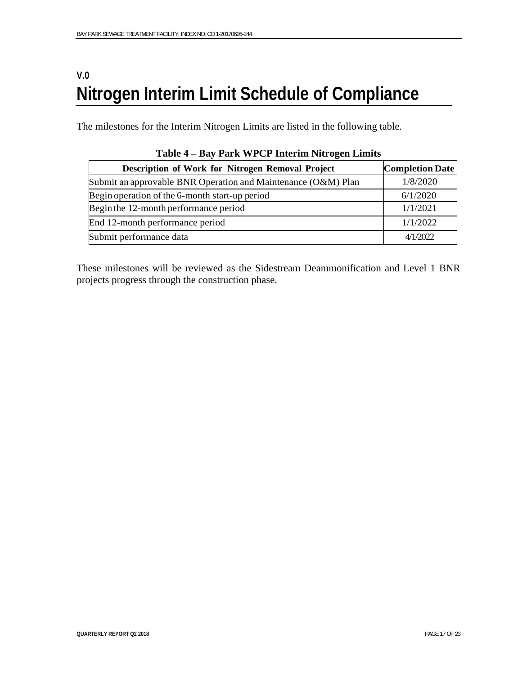# **V.0 Nitrogen Interim Limit Schedule of Compliance**

The milestones for the Interim Nitrogen Limits are listed in the following table.

| Description of Work for Nitrogen Removal Project              | <b>Completion Date</b> |
|---------------------------------------------------------------|------------------------|
| Submit an approvable BNR Operation and Maintenance (O&M) Plan | 1/8/2020               |
| Begin operation of the 6-month start-up period                | 6/1/2020               |
| Begin the 12-month performance period                         | 1/1/2021               |
| End 12-month performance period                               | 1/1/2022               |
| Submit performance data                                       | 4/1/2022               |

| Table 4 – Bay Park WPCP Interim Nitrogen Limits |  |  |  |
|-------------------------------------------------|--|--|--|
|                                                 |  |  |  |

These milestones will be reviewed as the Sidestream Deammonification and Level 1 BNR projects progress through the construction phase.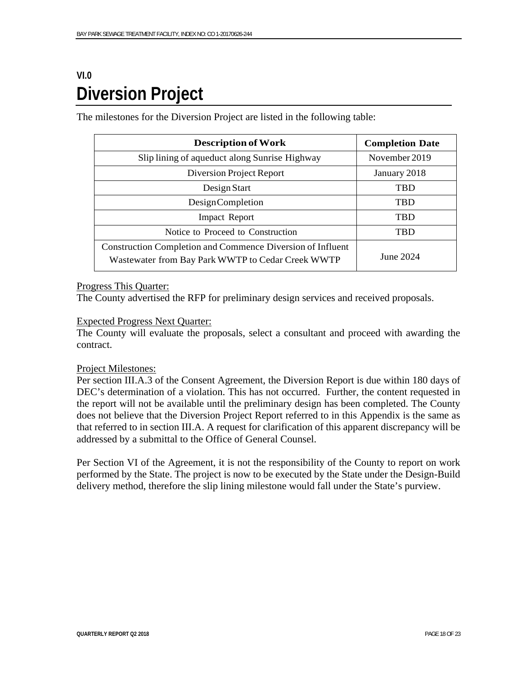# **VI.0 Diversion Project**

The milestones for the Diversion Project are listed in the following table:

| <b>Description of Work</b>                                                                                             | <b>Completion Date</b> |
|------------------------------------------------------------------------------------------------------------------------|------------------------|
| Slip lining of aqueduct along Sunrise Highway                                                                          | November 2019          |
| Diversion Project Report                                                                                               | January 2018           |
| Design Start                                                                                                           | <b>TBD</b>             |
| <b>DesignCompletion</b>                                                                                                | <b>TBD</b>             |
| <b>Impact Report</b>                                                                                                   | <b>TBD</b>             |
| Notice to Proceed to Construction                                                                                      | <b>TRD</b>             |
| <b>Construction Completion and Commence Diversion of Influent</b><br>Wastewater from Bay Park WWTP to Cedar Creek WWTP | June 2024              |

#### Progress This Quarter:

The County advertised the RFP for preliminary design services and received proposals.

#### Expected Progress Next Quarter:

The County will evaluate the proposals, select a consultant and proceed with awarding the contract.

#### Project Milestones:

Per section III.A.3 of the Consent Agreement, the Diversion Report is due within 180 days of DEC's determination of a violation. This has not occurred. Further, the content requested in the report will not be available until the preliminary design has been completed. The County does not believe that the Diversion Project Report referred to in this Appendix is the same as that referred to in section III.A. A request for clarification of this apparent discrepancy will be addressed by a submittal to the Office of General Counsel.

Per Section VI of the Agreement, it is not the responsibility of the County to report on work performed by the State. The project is now to be executed by the State under the Design-Build delivery method, therefore the slip lining milestone would fall under the State's purview.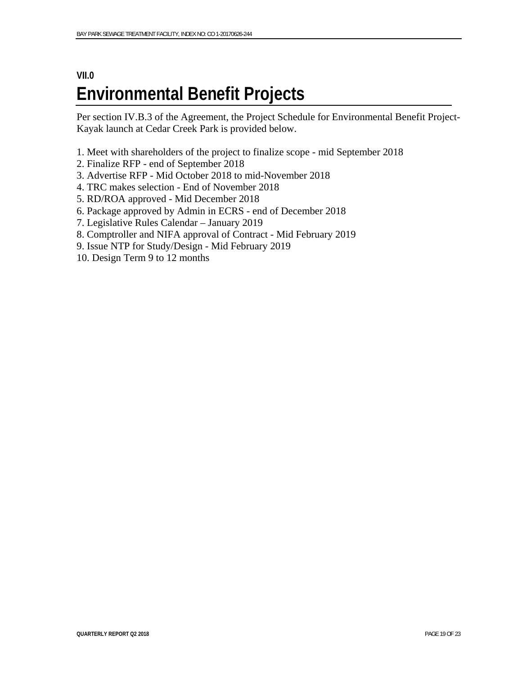# **VII.0 Environmental Benefit Projects**

Per section IV.B.3 of the Agreement, the Project Schedule for Environmental Benefit Project-Kayak launch at Cedar Creek Park is provided below.

- 1. Meet with shareholders of the project to finalize scope mid September 2018
- 2. Finalize RFP end of September 2018
- 3. Advertise RFP Mid October 2018 to mid-November 2018
- 4. TRC makes selection End of November 2018
- 5. RD/ROA approved Mid December 2018
- 6. Package approved by Admin in ECRS end of December 2018
- 7. Legislative Rules Calendar January 2019
- 8. Comptroller and NIFA approval of Contract Mid February 2019
- 9. Issue NTP for Study/Design Mid February 2019
- 10. Design Term 9 to 12 months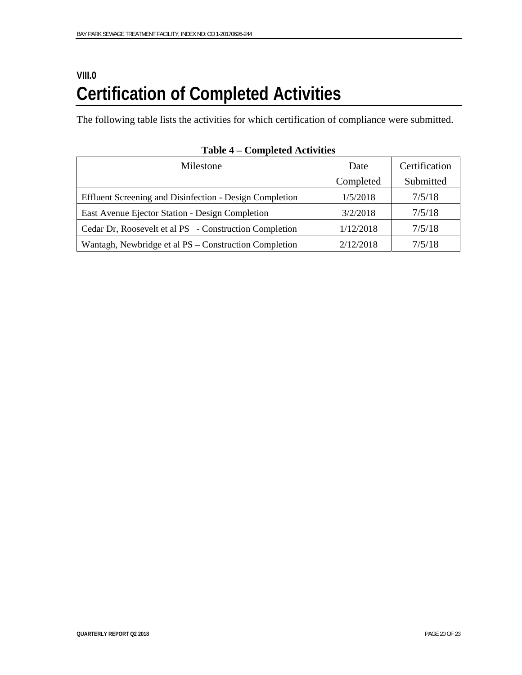# **VIII.0 Certification of Completed Activities**

The following table lists the activities for which certification of compliance were submitted.

| Milestone                                               | Date      | Certification |
|---------------------------------------------------------|-----------|---------------|
|                                                         | Completed | Submitted     |
| Effluent Screening and Disinfection - Design Completion | 1/5/2018  | 7/5/18        |
| East Avenue Ejector Station - Design Completion         | 3/2/2018  | 7/5/18        |
| Cedar Dr, Roosevelt et al PS - Construction Completion  | 1/12/2018 | 7/5/18        |
| Wantagh, Newbridge et al PS – Construction Completion   | 2/12/2018 | 7/5/18        |

**Table 4 – Completed Activities**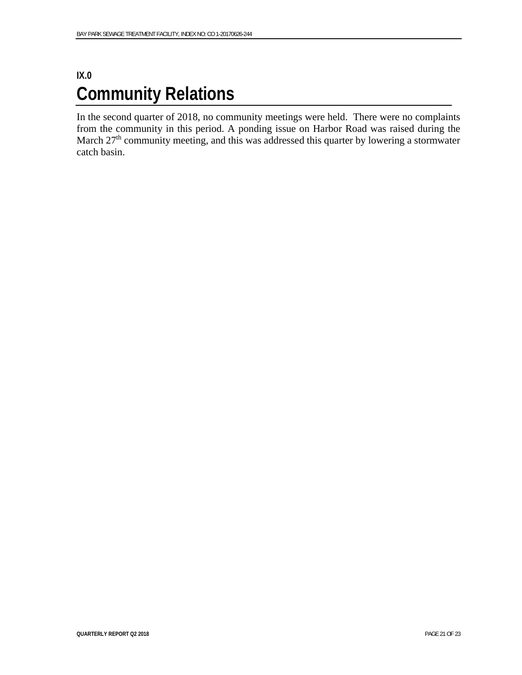# **IX.0 Community Relations**

In the second quarter of 2018, no community meetings were held. There were no complaints from the community in this period. A ponding issue on Harbor Road was raised during the March 27<sup>th</sup> community meeting, and this was addressed this quarter by lowering a stormwater catch basin.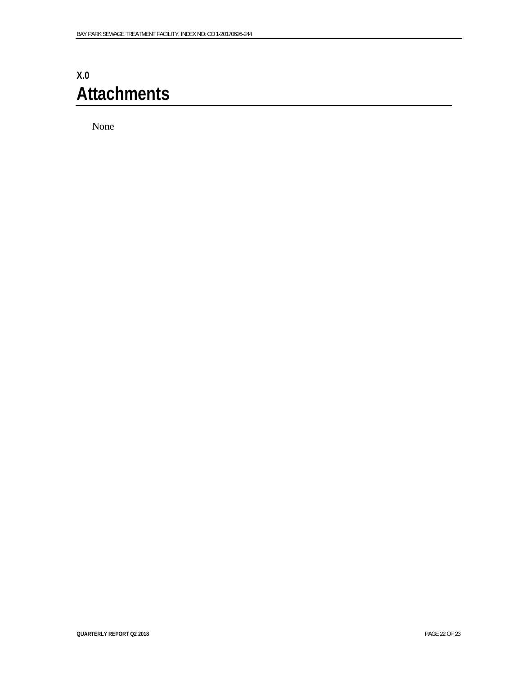# **X.0 Attachments**

None